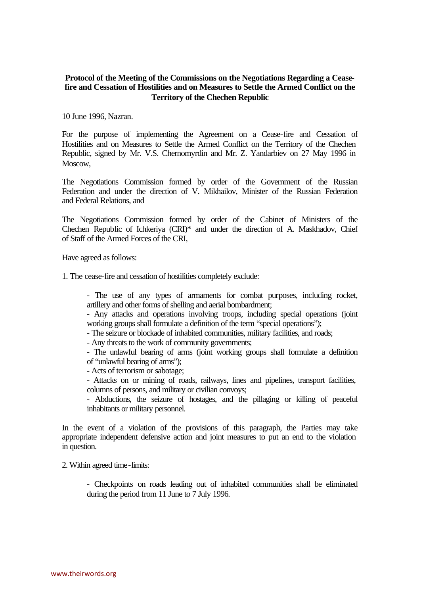## **Protocol of the Meeting of the Commissions on the Negotiations Regarding a Ceasefire and Cessation of Hostilities and on Measures to Settle the Armed Conflict on the Territory of the Chechen Republic**

10 June 1996, Nazran.

For the purpose of implementing the Agreement on a Cease-fire and Cessation of Hostilities and on Measures to Settle the Armed Conflict on the Territory of the Chechen Republic, signed by Mr. V.S. Chernomyrdin and Mr. Z. Yandarbiev on 27 May 1996 in Moscow,

The Negotiations Commission formed by order of the Government of the Russian Federation and under the direction of V. Mikhailov, Minister of the Russian Federation and Federal Relations, and

The Negotiations Commission formed by order of the Cabinet of Ministers of the Chechen Republic of Ichkeriya (CRI)\* and under the direction of A. Maskhadov, Chief of Staff of the Armed Forces of the CRI,

Have agreed as follows:

1. The cease-fire and cessation of hostilities completely exclude:

- The use of any types of armaments for combat purposes, including rocket, artillery and other forms of shelling and aerial bombardment;

- Any attacks and operations involving troops, including special operations (joint working groups shall formulate a definition of the term "special operations");

- The seizure or blockade of inhabited communities, military facilities, and roads;

- Any threats to the work of community governments;

- The unlawful bearing of arms (joint working groups shall formulate a definition of "unlawful bearing of arms");

- Acts of terrorism or sabotage;

- Attacks on or mining of roads, railways, lines and pipelines, transport facilities, columns of persons, and military or civilian convoys;

- Abductions, the seizure of hostages, and the pillaging or killing of peaceful inhabitants or military personnel.

In the event of a violation of the provisions of this paragraph, the Parties may take appropriate independent defensive action and joint measures to put an end to the violation in question.

2. Within agreed time-limits:

- Checkpoints on roads leading out of inhabited communities shall be eliminated during the period from 11 June to 7 July 1996.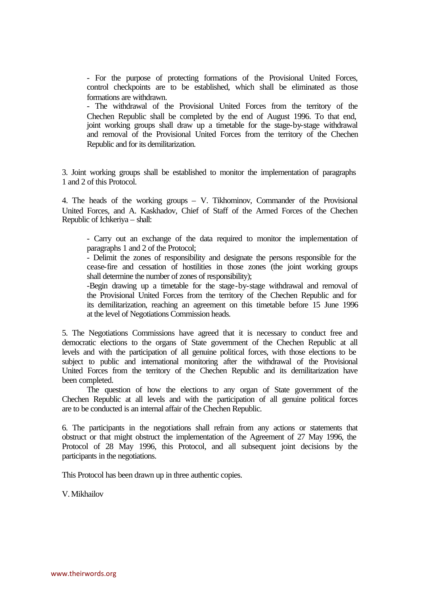- For the purpose of protecting formations of the Provisional United Forces, control checkpoints are to be established, which shall be eliminated as those formations are withdrawn.

- The withdrawal of the Provisional United Forces from the territory of the Chechen Republic shall be completed by the end of August 1996. To that end, joint working groups shall draw up a timetable for the stage-by-stage withdrawal and removal of the Provisional United Forces from the territory of the Chechen Republic and for its demilitarization.

3. Joint working groups shall be established to monitor the implementation of paragraphs 1 and 2 of this Protocol.

4. The heads of the working groups – V. Tikhominov, Commander of the Provisional United Forces, and A. Kaskhadov, Chief of Staff of the Armed Forces of the Chechen Republic of Ichkeriya – shall:

- Carry out an exchange of the data required to monitor the implementation of paragraphs 1 and 2 of the Protocol;

- Delimit the zones of responsibility and designate the persons responsible for the cease-fire and cessation of hostilities in those zones (the joint working groups shall determine the number of zones of responsibility);

-Begin drawing up a timetable for the stage-by-stage withdrawal and removal of the Provisional United Forces from the territory of the Chechen Republic and for its demilitarization, reaching an agreement on this timetable before 15 June 1996 at the level of Negotiations Commission heads.

5. The Negotiations Commissions have agreed that it is necessary to conduct free and democratic elections to the organs of State government of the Chechen Republic at all levels and with the participation of all genuine political forces, with those elections to be subject to public and international monitoring after the withdrawal of the Provisional United Forces from the territory of the Chechen Republic and its demilitarization have been completed.

The question of how the elections to any organ of State government of the Chechen Republic at all levels and with the participation of all genuine political forces are to be conducted is an internal affair of the Chechen Republic.

6. The participants in the negotiations shall refrain from any actions or statements that obstruct or that might obstruct the implementation of the Agreement of 27 May 1996, the Protocol of 28 May 1996, this Protocol, and all subsequent joint decisions by the participants in the negotiations.

This Protocol has been drawn up in three authentic copies.

V. Mikhailov